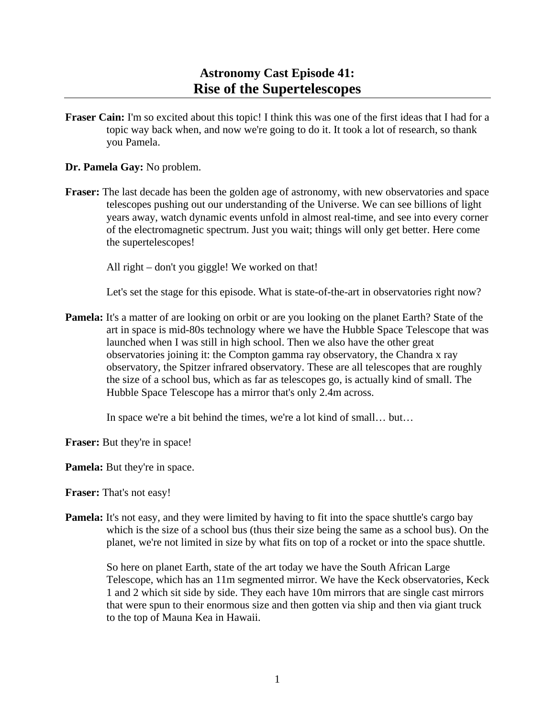## **Astronomy Cast Episode 41: Rise of the Supertelescopes**

**Fraser Cain:** I'm so excited about this topic! I think this was one of the first ideas that I had for a topic way back when, and now we're going to do it. It took a lot of research, so thank you Pamela.

**Dr. Pamela Gay:** No problem.

**Fraser:** The last decade has been the golden age of astronomy, with new observatories and space telescopes pushing out our understanding of the Universe. We can see billions of light years away, watch dynamic events unfold in almost real-time, and see into every corner of the electromagnetic spectrum. Just you wait; things will only get better. Here come the supertelescopes!

All right – don't you giggle! We worked on that!

Let's set the stage for this episode. What is state-of-the-art in observatories right now?

**Pamela:** It's a matter of are looking on orbit or are you looking on the planet Earth? State of the art in space is mid-80s technology where we have the Hubble Space Telescope that was launched when I was still in high school. Then we also have the other great observatories joining it: the Compton gamma ray observatory, the Chandra x ray observatory, the Spitzer infrared observatory. These are all telescopes that are roughly the size of a school bus, which as far as telescopes go, is actually kind of small. The Hubble Space Telescope has a mirror that's only 2.4m across.

In space we're a bit behind the times, we're a lot kind of small… but…

**Fraser:** But they're in space!

**Pamela:** But they're in space.

**Fraser:** That's not easy!

**Pamela:** It's not easy, and they were limited by having to fit into the space shuttle's cargo bay which is the size of a school bus (thus their size being the same as a school bus). On the planet, we're not limited in size by what fits on top of a rocket or into the space shuttle.

 So here on planet Earth, state of the art today we have the South African Large Telescope, which has an 11m segmented mirror. We have the Keck observatories, Keck 1 and 2 which sit side by side. They each have 10m mirrors that are single cast mirrors that were spun to their enormous size and then gotten via ship and then via giant truck to the top of Mauna Kea in Hawaii.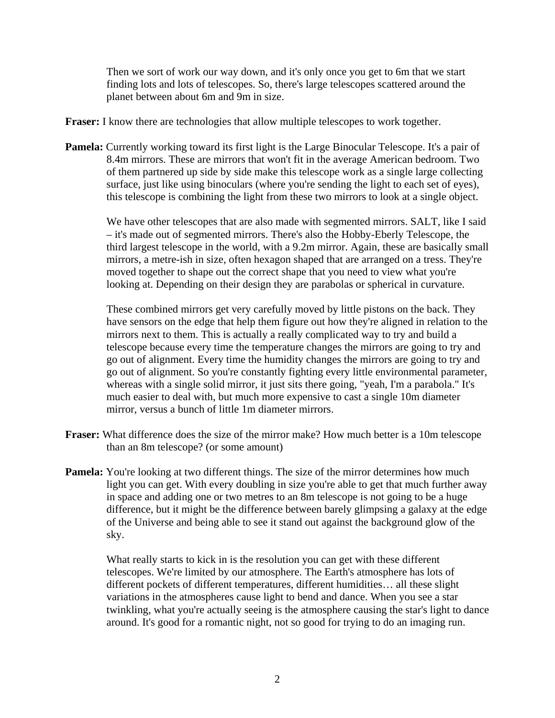Then we sort of work our way down, and it's only once you get to 6m that we start finding lots and lots of telescopes. So, there's large telescopes scattered around the planet between about 6m and 9m in size.

**Fraser:** I know there are technologies that allow multiple telescopes to work together.

**Pamela:** Currently working toward its first light is the Large Binocular Telescope. It's a pair of 8.4m mirrors. These are mirrors that won't fit in the average American bedroom. Two of them partnered up side by side make this telescope work as a single large collecting surface, just like using binoculars (where you're sending the light to each set of eyes), this telescope is combining the light from these two mirrors to look at a single object.

We have other telescopes that are also made with segmented mirrors. SALT, like I said – it's made out of segmented mirrors. There's also the Hobby-Eberly Telescope, the third largest telescope in the world, with a 9.2m mirror. Again, these are basically small mirrors, a metre-ish in size, often hexagon shaped that are arranged on a tress. They're moved together to shape out the correct shape that you need to view what you're looking at. Depending on their design they are parabolas or spherical in curvature.

 These combined mirrors get very carefully moved by little pistons on the back. They have sensors on the edge that help them figure out how they're aligned in relation to the mirrors next to them. This is actually a really complicated way to try and build a telescope because every time the temperature changes the mirrors are going to try and go out of alignment. Every time the humidity changes the mirrors are going to try and go out of alignment. So you're constantly fighting every little environmental parameter, whereas with a single solid mirror, it just sits there going, "yeah, I'm a parabola." It's much easier to deal with, but much more expensive to cast a single 10m diameter mirror, versus a bunch of little 1m diameter mirrors.

- **Fraser:** What difference does the size of the mirror make? How much better is a 10m telescope than an 8m telescope? (or some amount)
- **Pamela:** You're looking at two different things. The size of the mirror determines how much light you can get. With every doubling in size you're able to get that much further away in space and adding one or two metres to an 8m telescope is not going to be a huge difference, but it might be the difference between barely glimpsing a galaxy at the edge of the Universe and being able to see it stand out against the background glow of the sky.

 What really starts to kick in is the resolution you can get with these different telescopes. We're limited by our atmosphere. The Earth's atmosphere has lots of different pockets of different temperatures, different humidities… all these slight variations in the atmospheres cause light to bend and dance. When you see a star twinkling, what you're actually seeing is the atmosphere causing the star's light to dance around. It's good for a romantic night, not so good for trying to do an imaging run.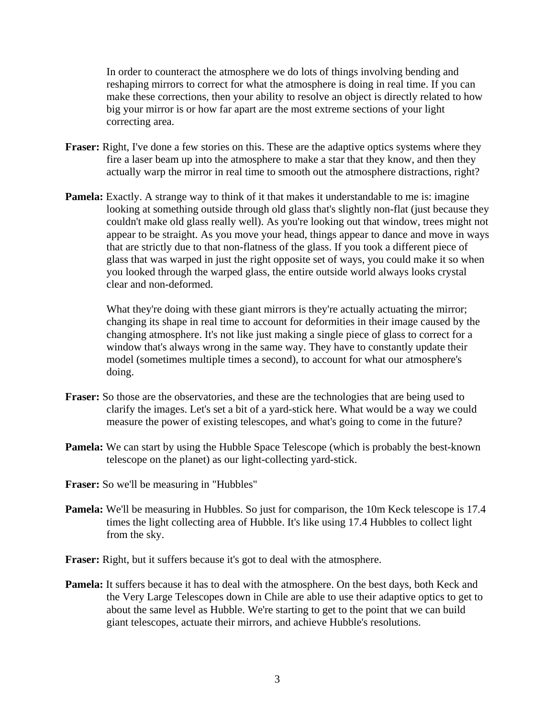In order to counteract the atmosphere we do lots of things involving bending and reshaping mirrors to correct for what the atmosphere is doing in real time. If you can make these corrections, then your ability to resolve an object is directly related to how big your mirror is or how far apart are the most extreme sections of your light correcting area.

- **Fraser:** Right, I've done a few stories on this. These are the adaptive optics systems where they fire a laser beam up into the atmosphere to make a star that they know, and then they actually warp the mirror in real time to smooth out the atmosphere distractions, right?
- **Pamela:** Exactly. A strange way to think of it that makes it understandable to me is: imagine looking at something outside through old glass that's slightly non-flat (just because they couldn't make old glass really well). As you're looking out that window, trees might not appear to be straight. As you move your head, things appear to dance and move in ways that are strictly due to that non-flatness of the glass. If you took a different piece of glass that was warped in just the right opposite set of ways, you could make it so when you looked through the warped glass, the entire outside world always looks crystal clear and non-deformed.

What they're doing with these giant mirrors is they're actually actuating the mirror; changing its shape in real time to account for deformities in their image caused by the changing atmosphere. It's not like just making a single piece of glass to correct for a window that's always wrong in the same way. They have to constantly update their model (sometimes multiple times a second), to account for what our atmosphere's doing.

- **Fraser:** So those are the observatories, and these are the technologies that are being used to clarify the images. Let's set a bit of a yard-stick here. What would be a way we could measure the power of existing telescopes, and what's going to come in the future?
- **Pamela:** We can start by using the Hubble Space Telescope (which is probably the best-known telescope on the planet) as our light-collecting yard-stick.
- **Fraser:** So we'll be measuring in "Hubbles"
- **Pamela:** We'll be measuring in Hubbles. So just for comparison, the 10m Keck telescope is 17.4 times the light collecting area of Hubble. It's like using 17.4 Hubbles to collect light from the sky.

**Fraser:** Right, but it suffers because it's got to deal with the atmosphere.

**Pamela:** It suffers because it has to deal with the atmosphere. On the best days, both Keck and the Very Large Telescopes down in Chile are able to use their adaptive optics to get to about the same level as Hubble. We're starting to get to the point that we can build giant telescopes, actuate their mirrors, and achieve Hubble's resolutions.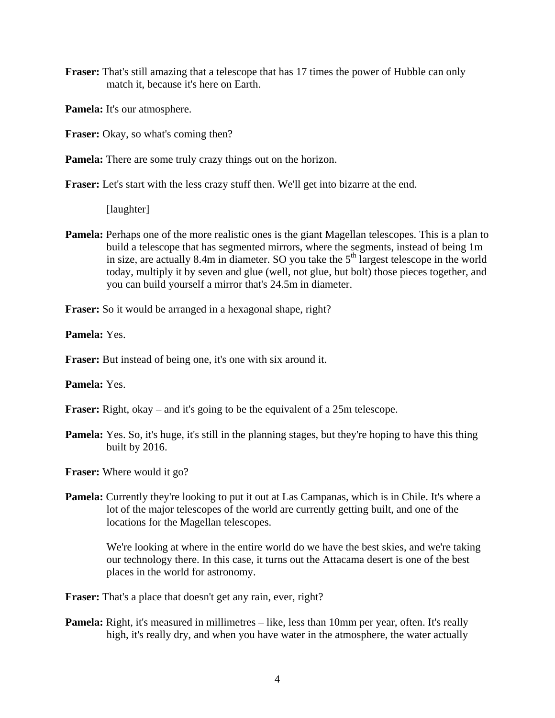**Fraser:** That's still amazing that a telescope that has 17 times the power of Hubble can only match it, because it's here on Earth.

**Pamela:** It's our atmosphere.

**Fraser:** Okay, so what's coming then?

**Pamela:** There are some truly crazy things out on the horizon.

Fraser: Let's start with the less crazy stuff then. We'll get into bizarre at the end.

[laughter]

**Pamela:** Perhaps one of the more realistic ones is the giant Magellan telescopes. This is a plan to build a telescope that has segmented mirrors, where the segments, instead of being 1m in size, are actually 8.4m in diameter. SO you take the  $5<sup>th</sup>$  largest telescope in the world today, multiply it by seven and glue (well, not glue, but bolt) those pieces together, and you can build yourself a mirror that's 24.5m in diameter.

**Fraser:** So it would be arranged in a hexagonal shape, right?

**Pamela:** Yes.

**Fraser:** But instead of being one, it's one with six around it.

**Pamela:** Yes.

**Fraser:** Right, okay – and it's going to be the equivalent of a 25m telescope.

**Pamela:** Yes. So, it's huge, it's still in the planning stages, but they're hoping to have this thing built by 2016.

**Fraser:** Where would it go?

**Pamela:** Currently they're looking to put it out at Las Campanas, which is in Chile. It's where a lot of the major telescopes of the world are currently getting built, and one of the locations for the Magellan telescopes.

 We're looking at where in the entire world do we have the best skies, and we're taking our technology there. In this case, it turns out the Attacama desert is one of the best places in the world for astronomy.

**Fraser:** That's a place that doesn't get any rain, ever, right?

**Pamela:** Right, it's measured in millimetres – like, less than 10mm per year, often. It's really high, it's really dry, and when you have water in the atmosphere, the water actually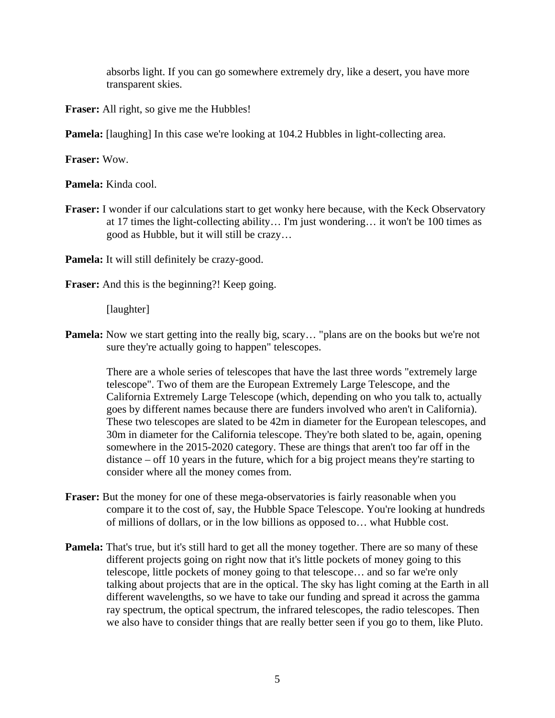absorbs light. If you can go somewhere extremely dry, like a desert, you have more transparent skies.

**Fraser:** All right, so give me the Hubbles!

**Pamela:** [laughing] In this case we're looking at 104.2 Hubbles in light-collecting area.

**Fraser:** Wow.

**Pamela:** Kinda cool.

**Fraser:** I wonder if our calculations start to get wonky here because, with the Keck Observatory at 17 times the light-collecting ability… I'm just wondering… it won't be 100 times as good as Hubble, but it will still be crazy…

**Pamela:** It will still definitely be crazy-good.

**Fraser:** And this is the beginning?! Keep going.

[laughter]

**Pamela:** Now we start getting into the really big, scary… "plans are on the books but we're not sure they're actually going to happen" telescopes.

 There are a whole series of telescopes that have the last three words "extremely large telescope". Two of them are the European Extremely Large Telescope, and the California Extremely Large Telescope (which, depending on who you talk to, actually goes by different names because there are funders involved who aren't in California). These two telescopes are slated to be 42m in diameter for the European telescopes, and 30m in diameter for the California telescope. They're both slated to be, again, opening somewhere in the 2015-2020 category. These are things that aren't too far off in the distance – off 10 years in the future, which for a big project means they're starting to consider where all the money comes from.

- **Fraser:** But the money for one of these mega-observatories is fairly reasonable when you compare it to the cost of, say, the Hubble Space Telescope. You're looking at hundreds of millions of dollars, or in the low billions as opposed to… what Hubble cost.
- **Pamela:** That's true, but it's still hard to get all the money together. There are so many of these different projects going on right now that it's little pockets of money going to this telescope, little pockets of money going to that telescope… and so far we're only talking about projects that are in the optical. The sky has light coming at the Earth in all different wavelengths, so we have to take our funding and spread it across the gamma ray spectrum, the optical spectrum, the infrared telescopes, the radio telescopes. Then we also have to consider things that are really better seen if you go to them, like Pluto.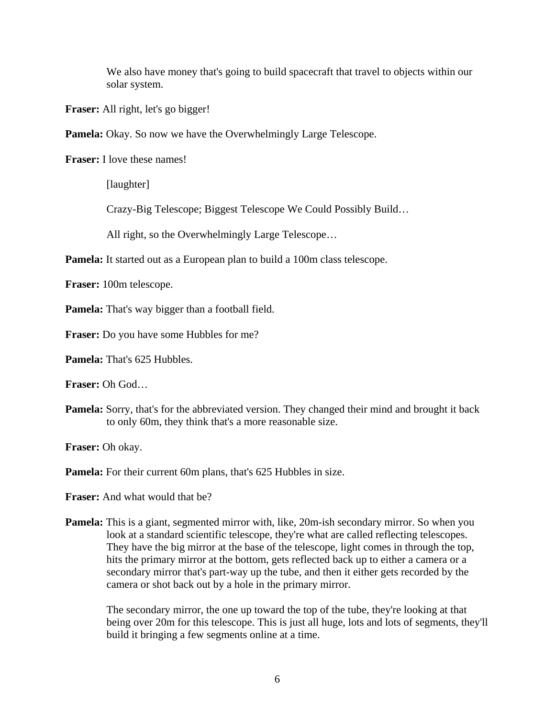We also have money that's going to build spacecraft that travel to objects within our solar system.

**Fraser:** All right, let's go bigger!

**Pamela:** Okay. So now we have the Overwhelmingly Large Telescope.

**Fraser:** I love these names!

[laughter]

Crazy-Big Telescope; Biggest Telescope We Could Possibly Build…

All right, so the Overwhelmingly Large Telescope…

**Pamela:** It started out as a European plan to build a 100m class telescope.

**Fraser:** 100m telescope.

**Pamela:** That's way bigger than a football field.

**Fraser:** Do you have some Hubbles for me?

**Pamela:** That's 625 Hubbles.

**Fraser:** Oh God…

**Pamela:** Sorry, that's for the abbreviated version. They changed their mind and brought it back to only 60m, they think that's a more reasonable size.

**Fraser:** Oh okay.

**Pamela:** For their current 60m plans, that's 625 Hubbles in size.

**Fraser:** And what would that be?

**Pamela:** This is a giant, segmented mirror with, like, 20m-ish secondary mirror. So when you look at a standard scientific telescope, they're what are called reflecting telescopes. They have the big mirror at the base of the telescope, light comes in through the top, hits the primary mirror at the bottom, gets reflected back up to either a camera or a secondary mirror that's part-way up the tube, and then it either gets recorded by the camera or shot back out by a hole in the primary mirror.

 The secondary mirror, the one up toward the top of the tube, they're looking at that being over 20m for this telescope. This is just all huge, lots and lots of segments, they'll build it bringing a few segments online at a time.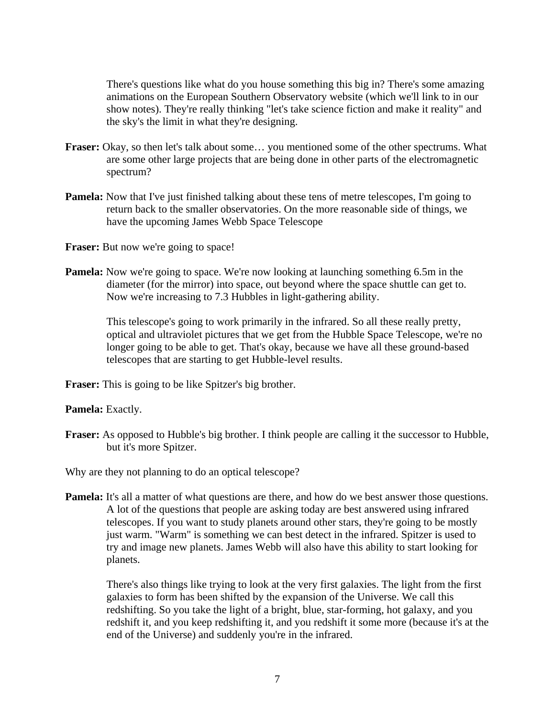There's questions like what do you house something this big in? There's some amazing animations on the European Southern Observatory website (which we'll link to in our show notes). They're really thinking "let's take science fiction and make it reality" and the sky's the limit in what they're designing.

- Fraser: Okay, so then let's talk about some... you mentioned some of the other spectrums. What are some other large projects that are being done in other parts of the electromagnetic spectrum?
- **Pamela:** Now that I've just finished talking about these tens of metre telescopes, I'm going to return back to the smaller observatories. On the more reasonable side of things, we have the upcoming James Webb Space Telescope

**Fraser:** But now we're going to space!

**Pamela:** Now we're going to space. We're now looking at launching something 6.5m in the diameter (for the mirror) into space, out beyond where the space shuttle can get to. Now we're increasing to 7.3 Hubbles in light-gathering ability.

> This telescope's going to work primarily in the infrared. So all these really pretty, optical and ultraviolet pictures that we get from the Hubble Space Telescope, we're no longer going to be able to get. That's okay, because we have all these ground-based telescopes that are starting to get Hubble-level results.

**Fraser:** This is going to be like Spitzer's big brother.

**Pamela:** Exactly.

**Fraser:** As opposed to Hubble's big brother. I think people are calling it the successor to Hubble, but it's more Spitzer.

Why are they not planning to do an optical telescope?

**Pamela:** It's all a matter of what questions are there, and how do we best answer those questions. A lot of the questions that people are asking today are best answered using infrared telescopes. If you want to study planets around other stars, they're going to be mostly just warm. "Warm" is something we can best detect in the infrared. Spitzer is used to try and image new planets. James Webb will also have this ability to start looking for planets.

 There's also things like trying to look at the very first galaxies. The light from the first galaxies to form has been shifted by the expansion of the Universe. We call this redshifting. So you take the light of a bright, blue, star-forming, hot galaxy, and you redshift it, and you keep redshifting it, and you redshift it some more (because it's at the end of the Universe) and suddenly you're in the infrared.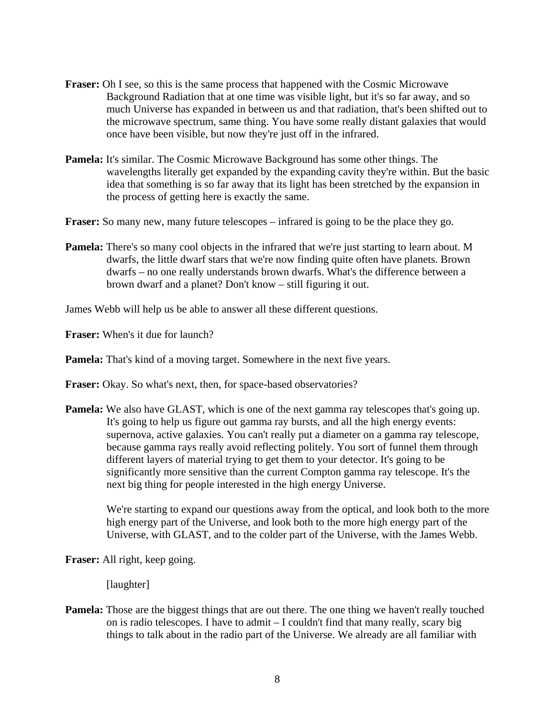- **Fraser:** Oh I see, so this is the same process that happened with the Cosmic Microwave Background Radiation that at one time was visible light, but it's so far away, and so much Universe has expanded in between us and that radiation, that's been shifted out to the microwave spectrum, same thing. You have some really distant galaxies that would once have been visible, but now they're just off in the infrared.
- **Pamela:** It's similar. The Cosmic Microwave Background has some other things. The wavelengths literally get expanded by the expanding cavity they're within. But the basic idea that something is so far away that its light has been stretched by the expansion in the process of getting here is exactly the same.

**Fraser:** So many new, many future telescopes – infrared is going to be the place they go.

**Pamela:** There's so many cool objects in the infrared that we're just starting to learn about. M dwarfs, the little dwarf stars that we're now finding quite often have planets. Brown dwarfs – no one really understands brown dwarfs. What's the difference between a brown dwarf and a planet? Don't know – still figuring it out.

James Webb will help us be able to answer all these different questions.

**Fraser:** When's it due for launch?

**Pamela:** That's kind of a moving target. Somewhere in the next five years.

**Fraser:** Okay. So what's next, then, for space-based observatories?

**Pamela:** We also have GLAST, which is one of the next gamma ray telescopes that's going up. It's going to help us figure out gamma ray bursts, and all the high energy events: supernova, active galaxies. You can't really put a diameter on a gamma ray telescope, because gamma rays really avoid reflecting politely. You sort of funnel them through different layers of material trying to get them to your detector. It's going to be significantly more sensitive than the current Compton gamma ray telescope. It's the next big thing for people interested in the high energy Universe.

 We're starting to expand our questions away from the optical, and look both to the more high energy part of the Universe, and look both to the more high energy part of the Universe, with GLAST, and to the colder part of the Universe, with the James Webb.

**Fraser:** All right, keep going.

[laughter]

**Pamela:** Those are the biggest things that are out there. The one thing we haven't really touched on is radio telescopes. I have to admit – I couldn't find that many really, scary big things to talk about in the radio part of the Universe. We already are all familiar with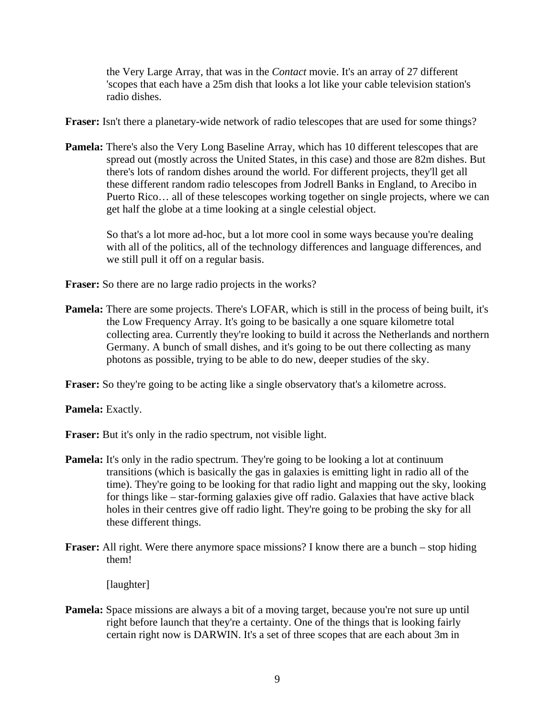the Very Large Array, that was in the *Contact* movie. It's an array of 27 different 'scopes that each have a 25m dish that looks a lot like your cable television station's radio dishes.

**Fraser:** Isn't there a planetary-wide network of radio telescopes that are used for some things?

**Pamela:** There's also the Very Long Baseline Array, which has 10 different telescopes that are spread out (mostly across the United States, in this case) and those are 82m dishes. But there's lots of random dishes around the world. For different projects, they'll get all these different random radio telescopes from Jodrell Banks in England, to Arecibo in Puerto Rico… all of these telescopes working together on single projects, where we can get half the globe at a time looking at a single celestial object.

 So that's a lot more ad-hoc, but a lot more cool in some ways because you're dealing with all of the politics, all of the technology differences and language differences, and we still pull it off on a regular basis.

**Fraser:** So there are no large radio projects in the works?

**Pamela:** There are some projects. There's LOFAR, which is still in the process of being built, it's the Low Frequency Array. It's going to be basically a one square kilometre total collecting area. Currently they're looking to build it across the Netherlands and northern Germany. A bunch of small dishes, and it's going to be out there collecting as many photons as possible, trying to be able to do new, deeper studies of the sky.

**Fraser:** So they're going to be acting like a single observatory that's a kilometre across.

**Pamela:** Exactly.

**Fraser:** But it's only in the radio spectrum, not visible light.

- **Pamela:** It's only in the radio spectrum. They're going to be looking a lot at continuum transitions (which is basically the gas in galaxies is emitting light in radio all of the time). They're going to be looking for that radio light and mapping out the sky, looking for things like – star-forming galaxies give off radio. Galaxies that have active black holes in their centres give off radio light. They're going to be probing the sky for all these different things.
- **Fraser:** All right. Were there anymore space missions? I know there are a bunch stop hiding them!

[laughter]

**Pamela:** Space missions are always a bit of a moving target, because you're not sure up until right before launch that they're a certainty. One of the things that is looking fairly certain right now is DARWIN. It's a set of three scopes that are each about 3m in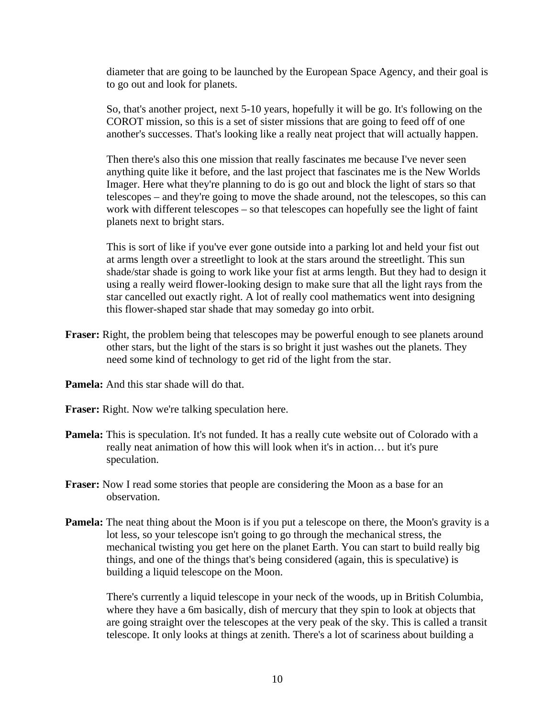diameter that are going to be launched by the European Space Agency, and their goal is to go out and look for planets.

 So, that's another project, next 5-10 years, hopefully it will be go. It's following on the COROT mission, so this is a set of sister missions that are going to feed off of one another's successes. That's looking like a really neat project that will actually happen.

 Then there's also this one mission that really fascinates me because I've never seen anything quite like it before, and the last project that fascinates me is the New Worlds Imager. Here what they're planning to do is go out and block the light of stars so that telescopes – and they're going to move the shade around, not the telescopes, so this can work with different telescopes – so that telescopes can hopefully see the light of faint planets next to bright stars.

 This is sort of like if you've ever gone outside into a parking lot and held your fist out at arms length over a streetlight to look at the stars around the streetlight. This sun shade/star shade is going to work like your fist at arms length. But they had to design it using a really weird flower-looking design to make sure that all the light rays from the star cancelled out exactly right. A lot of really cool mathematics went into designing this flower-shaped star shade that may someday go into orbit.

- **Fraser:** Right, the problem being that telescopes may be powerful enough to see planets around other stars, but the light of the stars is so bright it just washes out the planets. They need some kind of technology to get rid of the light from the star.
- **Pamela:** And this star shade will do that.

**Fraser:** Right. Now we're talking speculation here.

- **Pamela:** This is speculation. It's not funded. It has a really cute website out of Colorado with a really neat animation of how this will look when it's in action… but it's pure speculation.
- **Fraser:** Now I read some stories that people are considering the Moon as a base for an observation.
- **Pamela:** The neat thing about the Moon is if you put a telescope on there, the Moon's gravity is a lot less, so your telescope isn't going to go through the mechanical stress, the mechanical twisting you get here on the planet Earth. You can start to build really big things, and one of the things that's being considered (again, this is speculative) is building a liquid telescope on the Moon.

 There's currently a liquid telescope in your neck of the woods, up in British Columbia, where they have a 6m basically, dish of mercury that they spin to look at objects that are going straight over the telescopes at the very peak of the sky. This is called a transit telescope. It only looks at things at zenith. There's a lot of scariness about building a